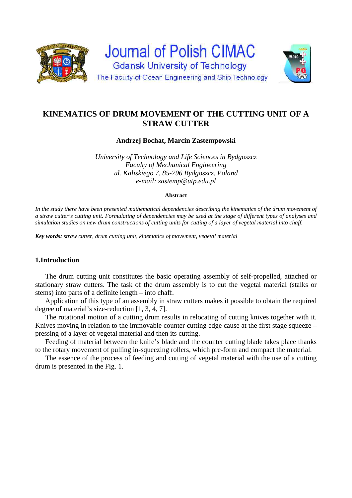

# **KINEMATICS OF DRUM MOVEMENT OF THE CUTTING UNIT OF A STRAW CUTTER**

**Andrzej Bochat, Marcin Zastempowski** 

*University of Technology and Life Sciences in Bydgoszcz Faculty of Mechanical Engineering ul. Kaliskiego 7, 85-796 Bydgoszcz, Poland e-mail: zastemp@utp.edu.pl* 

#### **Abstract**

In the study there have been presented mathematical dependencies describing the kinematics of the drum movement of *a straw cutter's cutting unit. Formulating of dependencies may be used at the stage of different types of analyses and simulation studies on new drum constructions of cutting units for cutting of a layer of vegetal material into chaff.* 

*Key words: straw cutter, drum cutting unit, kinematics of movement, vegetal material*

## **1.Introduction**

The drum cutting unit constitutes the basic operating assembly of self-propelled, attached or stationary straw cutters. The task of the drum assembly is to cut the vegetal material (stalks or stems) into parts of a definite length – into chaff.

Application of this type of an assembly in straw cutters makes it possible to obtain the required degree of material's size-reduction [1, 3, 4, 7].

The rotational motion of a cutting drum results in relocating of cutting knives together with it. Knives moving in relation to the immovable counter cutting edge cause at the first stage squeeze – pressing of a layer of vegetal material and then its cutting.

Feeding of material between the knife's blade and the counter cutting blade takes place thanks to the rotary movement of pulling in-squeezing rollers, which pre-form and compact the material.

The essence of the process of feeding and cutting of vegetal material with the use of a cutting drum is presented in the Fig. 1.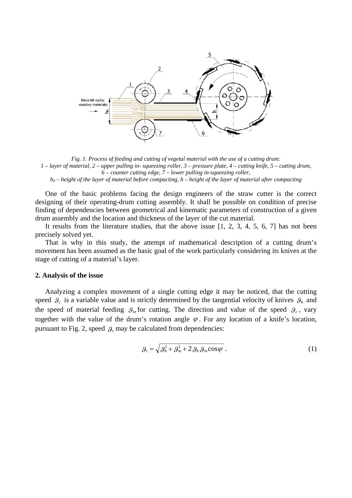

*Fig. 1. Process of feeding and cutting of vegetal material with the use of a cutting drum: 1 – layer of material, 2 – upper pulling in- squeezing roller, 3 – pressure plate, 4 – cutting knife, 5 – cutting drum, 6 – counter cutting edge, 7 – lower pulling in-squeezing roller, h0 – height of the layer of material before compacting, h – height of the layer of material after compacting* 

One of the basic problems facing the design engineers of the straw cutter is the correct designing of their operating-drum cutting assembly. It shall be possible on condition of precise finding of dependencies between geometrical and kinematic parameters of construction of a given drum assembly and the location and thickness of the layer of the cut material.

It results from the literature studies, that the above issue [1, 2, 3, 4, 5, 6, 7] has not been precisely solved yet.

That is why in this study, the attempt of mathematical description of a cutting drum's movement has been assumed as the basic goal of the work particularly considering its knives at the stage of cutting of a material's layer.

#### **2. Analysis of the issue**

Analyzing a complex movement of a single cutting edge it may be noticed, that the cutting speed  $\mathcal{G}_c$  is a variable value and is strictly determined by the tangential velocity of knives  $\mathcal{G}_b$  and the speed of material feeding  $g_m$  for cutting. The direction and value of the speed  $g_c$ , vary together with the value of the drum's rotation angle  $\varphi$ . For any location of a knife's location, pursuant to Fig. 2, speed  $\beta_c$  may be calculated from dependencies:

$$
\mathcal{G}_c = \sqrt{\mathcal{G}_b^2 + \mathcal{G}_m^2 + 2 \mathcal{G}_b \mathcal{G}_m \cos \psi} \ . \tag{1}
$$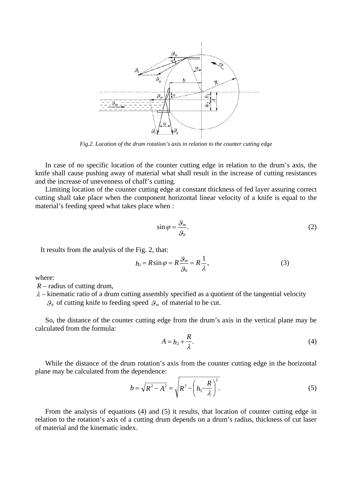

*Fig.2. Location of the drum rotation's axis in relation to the counter cutting edge* 

In case of no specific location of the counter cutting edge in relation to the drum's axis, the knife shall cause pushing away of material what shall result in the increase of cutting resistances and the increase of unevenness of chaff's cutting.

Limiting location of the counter cutting edge at constant thickness of fed layer assuring correct cutting shall take place when the component horizontal linear velocity of a knife is equal to the material's feeding speed what takes place when :

$$
\sin \varphi = \frac{\mathcal{G}_m}{\mathcal{G}_b}.\tag{2}
$$

It results from the analysis of the Fig. 2, that:

$$
h_1 = R \sin \varphi = R \frac{\varphi_m}{\varphi_b} = R \frac{1}{\lambda},\tag{3}
$$

where:

 *R* – radius of cutting drum,

 $\lambda$  – kinematic ratio of a drum cutting assembly specified as a quotient of the tangential velocity  $\mathcal{G}_b$  of cutting knife to feeding speed  $\mathcal{G}_m$  of material to be cut.

So, the distance of the counter cutting edge from the drum's axis in the vertical plane may be calculated from the formula:

$$
A = h_2 + \frac{R}{\lambda}.\tag{4}
$$

While the distance of the drum rotation's axis from the counter cutting edge in the horizontal plane may be calculated from the dependence:

$$
b = \sqrt{R^2 - A^2} = \sqrt{R^2 - \left(h_1 - \frac{R}{\lambda}\right)^2}.
$$
 (5)

From the analysis of equations (4) and (5) it results, that location of counter cutting edge in relation to the rotation's axis of a cutting drum depends on a drum's radius, thickness of cut laser of material and the kinematic index.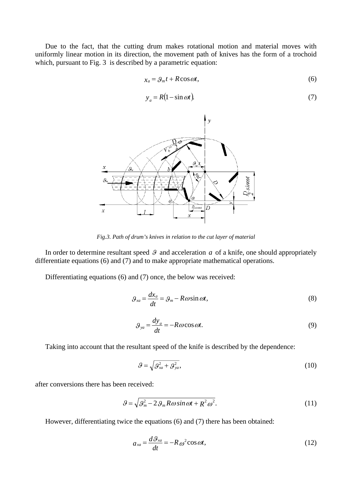Due to the fact, that the cutting drum makes rotational motion and material moves with uniformly linear motion in its direction, the movement path of knives has the form of a trochoid which, pursuant to Fig. 3 is described by a parametric equation:

$$
x_a = \mathcal{G}_m t + R \cos \omega t, \tag{6}
$$

$$
y_a = R(1 - \sin \omega t). \tag{7}
$$



*Fig.3. Path of drum's knives in relation to the cut layer of material* 

In order to determine resultant speed  $\mathcal G$  and acceleration  $a$  of a knife, one should appropriately differentiate equations (6) and (7) and to make appropriate mathematical operations.

Differentiating equations (6) and (7) once, the below was received:

$$
\mathcal{G}_{xa} = \frac{dx_a}{dt} = \mathcal{G}_m - R\omega\sin\omega t,\tag{8}
$$

$$
\mathcal{G}_{ya} = \frac{dy_a}{dt} = -R\omega\cos\omega t.
$$
 (9)

Taking into account that the resultant speed of the knife is described by the dependence:

$$
\mathcal{G} = \sqrt{\mathcal{G}_{xa}^2 + \mathcal{G}_{ya}^2},\tag{10}
$$

after conversions there has been received:

$$
\mathcal{G} = \sqrt{\mathcal{G}_m^2 - 2\mathcal{G}_m R \omega \sin \omega t + R^2 \omega^2}.
$$
 (11)

However, differentiating twice the equations (6) and (7) there has been obtained:

$$
a_{xa} = \frac{d\theta_{xa}}{dt} = -R\omega^2 \cos \omega t, \qquad (12)
$$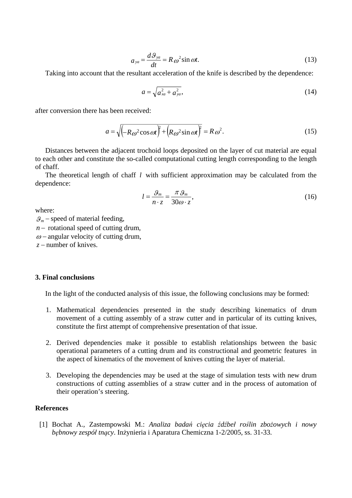$$
a_{ya} = \frac{d\mathcal{G}_{ya}}{dt} = R\omega^2 \sin \omega t.
$$
 (13)

Taking into account that the resultant acceleration of the knife is described by the dependence:

$$
a = \sqrt{a_{xa}^2 + a_{ya}^2},\tag{14}
$$

after conversion there has been received:

$$
a = \sqrt{\left(-R\omega^2 \cos \omega t\right)^2 + \left(R\omega^2 \sin \omega t\right)^2} = R\omega^2.
$$
 (15)

Distances between the adjacent trochoid loops deposited on the layer of cut material are equal to each other and constitute the so-called computational cutting length corresponding to the length of chaff.

The theoretical length of chaff *l* with sufficient approximation may be calculated from the dependence:

$$
l = \frac{\mathcal{G}_m}{n \cdot z} = \frac{\pi \, \mathcal{G}_m}{30 \omega \cdot z},\tag{16}
$$

where:

 $\mathcal{G}_m$  – speed of material feeding,

 $n$  – rotational speed of cutting drum,

 $\omega$  – angular velocity of cutting drum.

*z* – number of knives.

### **3. Final conclusions**

In the light of the conducted analysis of this issue, the following conclusions may be formed:

- 1. Mathematical dependencies presented in the study describing kinematics of drum movement of a cutting assembly of a straw cutter and in particular of its cutting knives, constitute the first attempt of comprehensive presentation of that issue.
- 2. Derived dependencies make it possible to establish relationships between the basic operational parameters of a cutting drum and its constructional and geometric features in the aspect of kinematics of the movement of knives cutting the layer of material.
- 3. Developing the dependencies may be used at the stage of simulation tests with new drum constructions of cutting assemblies of a straw cutter and in the process of automation of their operation's steering.

## **References**

[1] Bochat A., Zastempowski M.: *Analiza badań cięcia źdźbeł roślin zbożowych i nowy bębnowy zespół tnący*. Inżynieria i Aparatura Chemiczna 1-2/2005, ss. 31-33.